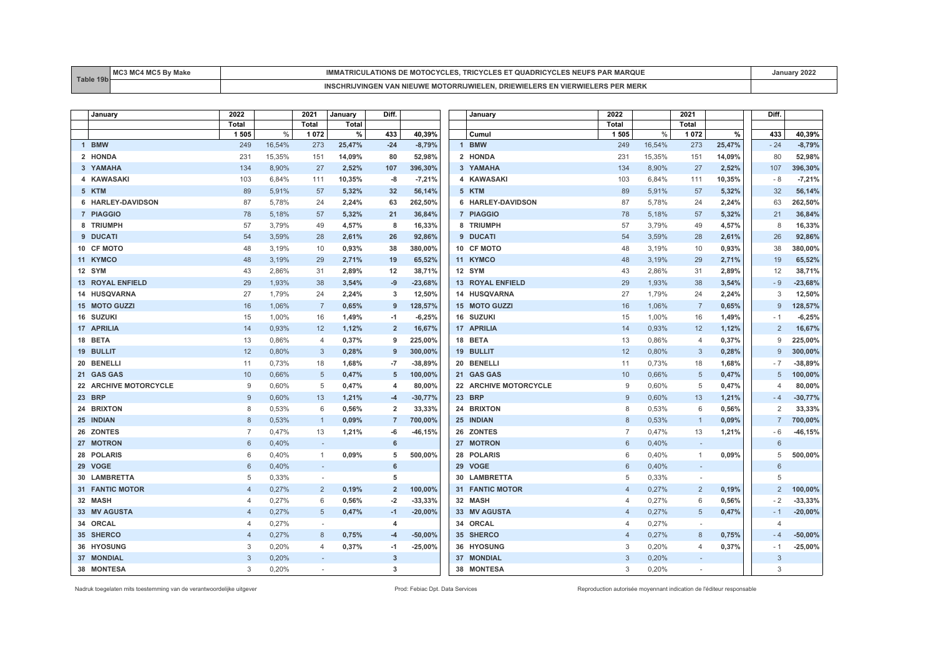| Toble | BA <sub>O</sub><br>IVIL | <b>MOTOCYCLET</b><br>ONS DE "<br>$\mathbf{a}$<br>. .<br>150.1<br>u jinu tul<br>:5 NEU          |  |
|-------|-------------------------|------------------------------------------------------------------------------------------------|--|
|       |                         | ER MERK<br>DRII<br>. VII<br>′INGEN<br>_vvir<br>ERJ<br>4U J LJR R LJVY<br>$\cdots$<br>: IN VV I |  |

| January                 | 2022                     |        | 2021           | January | Diff.          |           | January                 | 2022           |        | 2021                     |        | Diff.          |           |
|-------------------------|--------------------------|--------|----------------|---------|----------------|-----------|-------------------------|----------------|--------|--------------------------|--------|----------------|-----------|
|                         | <b>Total</b>             |        | <b>Total</b>   | Total   |                |           |                         | Total          |        | <b>Total</b>             |        |                |           |
|                         | 1505                     | %      | 1072           | $\%$    | 433            | 40,39%    | Cumul                   | 1 5 0 5        | %      | 1072                     | %      | 433            | 40,39%    |
| 1 BMW                   | 249                      | 16,54% | 273            | 25,47%  | $-24$          | $-8,79%$  | 1 BMW                   | 249            | 16,54% | 273                      | 25,47% | $-24$          | $-8,79%$  |
| 2 HONDA                 | 231                      | 15,35% | 151            | 14,09%  | 80             | 52,98%    | 2 HONDA                 | 231            | 15,35% | 151                      | 14,09% | 80             | 52,98%    |
| 3 YAMAHA                | 134                      | 8.90%  | 27             | 2,52%   | 107            | 396,30%   | 3 YAMAHA                | 134            | 8.90%  | 27                       | 2,52%  | 107            | 396,30%   |
| 4 KAWASAKI              | 103                      | 6,84%  | 111            | 10,35%  | -8             | $-7,21%$  | 4 KAWASAKI              | 103            | 6,84%  | 111                      | 10,35% | $-8$           | $-7,21%$  |
| 5 KTM                   | 89                       | 5,91%  | 57             | 5,32%   | 32             | 56,14%    | 5 KTM                   | 89             | 5,91%  | 57                       | 5,32%  | 32             | 56,14%    |
| 6 HARLEY-DAVIDSON       | 87                       | 5,78%  | 24             | 2,24%   | 63             | 262,50%   | 6 HARLEY-DAVIDSON       | 87             | 5,78%  | 24                       | 2,24%  | 63             | 262,50%   |
| 7 PIAGGIO               | 78                       | 5,18%  | 57             | 5,32%   | 21             | 36,84%    | 7 PIAGGIO               | 78             | 5,18%  | 57                       | 5,32%  | 21             | 36,84%    |
| 8 TRIUMPH               | 57                       | 3,79%  | 49             | 4,57%   | 8              | 16,33%    | 8 TRIUMPH               | 57             | 3,79%  | 49                       | 4,57%  | 8              | 16,33%    |
| 9 DUCATI                | 54                       | 3.59%  | 28             | 2,61%   | 26             | 92,86%    | 9 DUCATI                | 54             | 3,59%  | 28                       | 2,61%  | 26             | 92,86%    |
| 10 CF MOTO              | 48                       | 3,19%  | 10             | 0,93%   | 38             | 380,00%   | 10 CF MOTO              | 48             | 3,19%  | 10                       | 0,93%  | 38             | 380,00%   |
| 11 KYMCO                | 48                       | 3,19%  | 29             | 2,71%   | 19             | 65,52%    | 11 KYMCO                | 48             | 3,19%  | 29                       | 2,71%  | 19             | 65,52%    |
| 12 SYM                  | 43                       | 2,86%  | 31             | 2,89%   | 12             | 38,71%    | 12 SYM                  | 43             | 2,86%  | 31                       | 2,89%  | 12             | 38,71%    |
| <b>13 ROYAL ENFIELD</b> | 29                       | 1,93%  | 38             | 3,54%   | -9             | $-23,68%$ | <b>13 ROYAL ENFIELD</b> | 29             | 1,93%  | 38                       | 3,54%  | - 9            | $-23,68%$ |
| 14 HUSQVARNA            | 27                       | 1,79%  | 24             | 2,24%   | 3              | 12,50%    | 14 HUSQVARNA            | 27             | 1,79%  | 24                       | 2,24%  | 3              | 12,50%    |
| 15 MOTO GUZZI           | 16                       | 1.06%  | $\overline{7}$ | 0,65%   | 9              | 128,57%   | 15 MOTO GUZZI           | 16             | 1,06%  | $\overline{7}$           | 0,65%  | 9              | 128,57%   |
| 16 SUZUKI               | 15                       | 1,00%  | 16             | 1,49%   | $-1$           | $-6,25%$  | 16 SUZUKI               | 15             | 1,00%  | 16                       | 1,49%  | - 1            | $-6,25%$  |
| 17 APRILIA              | 14                       | 0,93%  | 12             | 1,12%   | $\overline{2}$ | 16,67%    | 17 APRILIA              | 14             | 0,93%  | 12                       | 1,12%  | $\overline{2}$ | 16,67%    |
| 18 BETA                 | 13                       | 0,86%  | $\overline{4}$ | 0,37%   | 9              | 225,00%   | 18 BETA                 | 13             | 0,86%  | $\overline{4}$           | 0,37%  | 9              | 225,00%   |
| 19 BULLIT               | 12                       | 0,80%  | 3              | 0,28%   | 9              | 300,00%   | 19 BULLIT               | 12             | 0,80%  | 3                        | 0,28%  | 9              | 300,00%   |
| 20 BENELLI              | 11                       | 0,73%  | 18             | 1,68%   | $-7$           | $-38,89%$ | 20 BENELLI              | 11             | 0,73%  | 18                       | 1,68%  | $-7$           | $-38,89%$ |
| 21 GAS GAS              | 10                       | 0.66%  | 5              | 0,47%   | 5              | 100,00%   | 21 GAS GAS              | 10             | 0,66%  | 5                        | 0,47%  | 5              | 100,00%   |
| 22 ARCHIVE MOTORCYCLE   | 9                        | 0,60%  | 5              | 0,47%   | $\overline{4}$ | 80,00%    | 22 ARCHIVE MOTORCYCLE   | 9              | 0,60%  | 5                        | 0,47%  | $\overline{4}$ | 80,00%    |
| 23 BRP                  | 9                        | 0,60%  | 13             | 1,21%   | -4             | $-30,77%$ | 23 BRP                  | 9              | 0,60%  | 13                       | 1,21%  | $-4$           | $-30,77%$ |
| 24 BRIXTON              | 8                        | 0,53%  | 6              | 0,56%   | $\overline{2}$ | 33,33%    | 24 BRIXTON              | 8              | 0,53%  | 6                        | 0,56%  | 2              | 33,33%    |
| 25 INDIAN               | 8                        | 0,53%  | $\mathbf{1}$   | 0,09%   | $\overline{7}$ | 700,00%   | 25 INDIAN               | 8              | 0,53%  | $\overline{1}$           | 0,09%  | $\overline{7}$ | 700,00%   |
| 26 ZONTES               | $\overline{7}$           | 0,47%  | 13             | 1,21%   | -6             | $-46,15%$ | 26 ZONTES               | $\overline{7}$ | 0,47%  | 13                       | 1,21%  | - 6            | $-46,15%$ |
| 27 MOTRON               | 6                        | 0.40%  | $\sim$         |         | 6              |           | 27 MOTRON               | 6              | 0,40%  | $\sim$                   |        | 6              |           |
| 28 POLARIS              | 6                        | 0,40%  | $\mathbf{1}$   | 0,09%   | 5              | 500,00%   | 28 POLARIS              | 6              | 0,40%  | $\mathbf{1}$             | 0,09%  | 5              | 500,00%   |
| 29 VOGE                 | 6                        | 0,40%  | $\sim$         |         | 6              |           | 29 VOGE                 | 6              | 0,40%  | $\overline{\phantom{a}}$ |        | 6              |           |
| 30 LAMBRETTA            | 5                        | 0,33%  |                |         | 5              |           | 30 LAMBRETTA            | 5              | 0,33%  | $\sim$                   |        | 5              |           |
| <b>31 FANTIC MOTOR</b>  | $\Delta$                 | 0,27%  | $\overline{2}$ | 0,19%   | $\overline{2}$ | 100,00%   | 31 FANTIC MOTOR         | $\overline{4}$ | 0,27%  | $\overline{2}$           | 0,19%  | $\overline{2}$ | 100,00%   |
| 32 MASH                 | 4                        | 0,27%  | 6              | 0,56%   | $-2$           | $-33,33%$ | 32 MASH                 | 4              | 0,27%  | 6                        | 0,56%  | $-2$           | $-33,33%$ |
| 33 MV AGUSTA            | $\overline{4}$           | 0,27%  | 5              | 0,47%   | $-1$           | $-20,00%$ | 33 MV AGUSTA            | $\overline{4}$ | 0,27%  | 5                        | 0,47%  | $-1$           | $-20,00%$ |
| 34 ORCAL                | $\overline{\mathcal{A}}$ | 0,27%  | $\sim$         |         | $\overline{4}$ |           | 34 ORCAL                | $\overline{4}$ | 0,27%  | $\sim$                   |        | $\overline{4}$ |           |
| 35 SHERCO               | $\overline{4}$           | 0,27%  | 8              | 0,75%   | -4             | $-50,00%$ | 35 SHERCO               | $\overline{4}$ | 0,27%  | 8                        | 0,75%  | $-4$           | $-50,00%$ |
| 36 HYOSUNG              | 3                        | 0,20%  | 4              | 0,37%   | $-1$           | $-25,00%$ | 36 HYOSUNG              | 3              | 0,20%  | $\overline{4}$           | 0,37%  | - 1            | $-25,00%$ |
| 37 MONDIAL              | 3                        | 0,20%  |                |         | $\mathbf{3}$   |           | 37 MONDIAL              | 3              | 0,20%  | $\overline{\phantom{a}}$ |        | $\mathbf{3}$   |           |
| 38 MONTESA              | 3                        | 0,20%  |                |         | 3              |           | 38 MONTESA              | 3              | 0,20%  |                          |        | 3              |           |

Nadruk toegelaten mits toestemming van de verantwoordelijke uitgever entered enter enter enter a metaleur enter autorisée Prod: Febiac Dpt. Data Services Reproduction autorisée moyennant indication de l'éditeur responsable